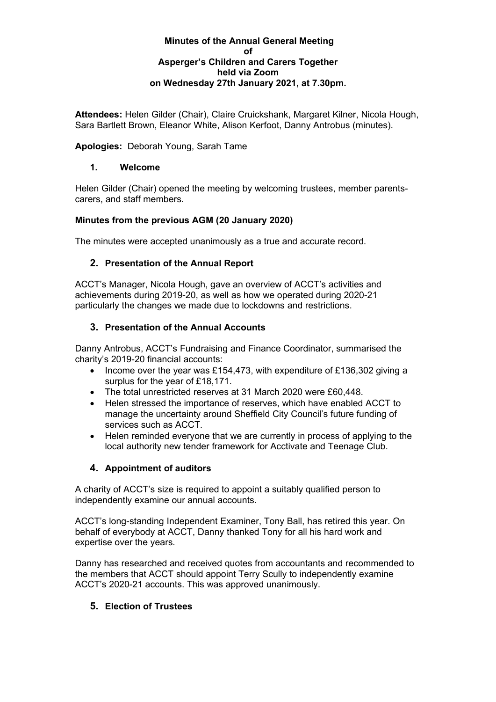#### **Minutes of the Annual General Meeting of Asperger's Children and Carers Together held via Zoom on Wednesday 27th January 2021, at 7.30pm.**

**Attendees:** Helen Gilder (Chair), Claire Cruickshank, Margaret Kilner, Nicola Hough, Sara Bartlett Brown, Eleanor White, Alison Kerfoot, Danny Antrobus (minutes).

**Apologies:** Deborah Young, Sarah Tame

### **1. Welcome**

Helen Gilder (Chair) opened the meeting by welcoming trustees, member parentscarers, and staff members.

### **Minutes from the previous AGM (20 January 2020)**

The minutes were accepted unanimously as a true and accurate record.

### **2. Presentation of the Annual Report**

ACCT's Manager, Nicola Hough, gave an overview of ACCT's activities and achievements during 2019-20, as well as how we operated during 2020-21 particularly the changes we made due to lockdowns and restrictions.

### **3. Presentation of the Annual Accounts**

Danny Antrobus, ACCT's Fundraising and Finance Coordinator, summarised the charity's 2019-20 financial accounts:

- Income over the year was £154,473, with expenditure of £136,302 giving a surplus for the year of £18,171.
- The total unrestricted reserves at 31 March 2020 were £60,448.
- Helen stressed the importance of reserves, which have enabled ACCT to manage the uncertainty around Sheffield City Council's future funding of services such as ACCT.
- Helen reminded everyone that we are currently in process of applying to the local authority new tender framework for Acctivate and Teenage Club.

# **4. Appointment of auditors**

A charity of ACCT's size is required to appoint a suitably qualified person to independently examine our annual accounts.

ACCT's long-standing Independent Examiner, Tony Ball, has retired this year. On behalf of everybody at ACCT, Danny thanked Tony for all his hard work and expertise over the years.

Danny has researched and received quotes from accountants and recommended to the members that ACCT should appoint Terry Scully to independently examine ACCT's 2020-21 accounts. This was approved unanimously.

# **5. Election of Trustees**